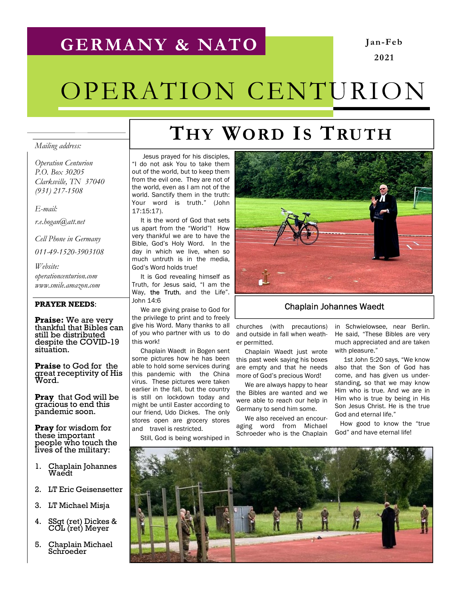## GERMANY & NATO

Jan-Feb 2021

# OPERATION CENTURION

### Mailing address:

Operation Centurion P.O. Box 30205 Clarksville, TN 37040 (931) 217-1508

E-mail:

r.e.hogan@att.net

Cell Phone in Germany

011-49-1520-3903108

Website: operationcenturion.com www.smile.amazon.com

#### PRAYER NEEDS:

Praise: We are very thankful that Bibles can still be distributed despite the COVID-19 situation.

Praise to God for the great receptivity of His Word.

**Pray** that God will be gracious to end this pandemic soon.

Pray for wisdom for these important people who touch the lives of the military:

- 1. Chaplain Johannes Waedt
- 2. LT Eric Geisensetter
- 3. LT Michael Misja
- 4. SSgt (ret) Dickes & COL (ret) Meyer
- 5. Chaplain Michael **Schroeder**

# THY WORD IS TRUTH

 Jesus prayed for his disciples, "I do not ask You to take them out of the world, but to keep them from the evil one. They are not of the world, even as I am not of the world. Sanctify them in the truth: Your word is truth." (John 17:15:17).

 It is the word of God that sets us apart from the "World"! How very thankful we are to have the Bible, God's Holy Word. In the day in which we live, when so much untruth is in the media, God's Word holds true!

 It is God revealing himself as Truth, for Jesus said, "I am the Way, the Truth, and the Life". John 14:6

 We are giving praise to God for the privilege to print and to freely give his Word. Many thanks to all of you who partner with us to do this work!

 Chaplain Waedt in Bogen sent some pictures how he has been able to hold some services during this pandemic with the China virus. These pictures were taken earlier in the fall, but the country is still on lockdown today and might be until Easter according to our friend, Udo Dickes. The only stores open are grocery stores and travel is restricted.

Still, God is being worshiped in



### Chaplain Johannes Waedt

churches (with precautions) and outside in fall when weather permitted.

 Chaplain Waedt just wrote this past week saying his boxes are empty and that he needs more of God's precious Word!

 We are always happy to hear the Bibles are wanted and we were able to reach our help in Germany to send him some.

 We also received an encouraging word from Michael Schroeder who is the Chaplain

in Schwielowsee, near Berlin. He said, "These Bibles are very much appreciated and are taken with pleasure."

 1st John 5:20 says, "We know also that the Son of God has come, and has given us understanding, so that we may know Him who is true. And we are in Him who is true by being in His Son Jesus Christ. He is the true God and eternal life."

 How good to know the "true God" and have eternal life!